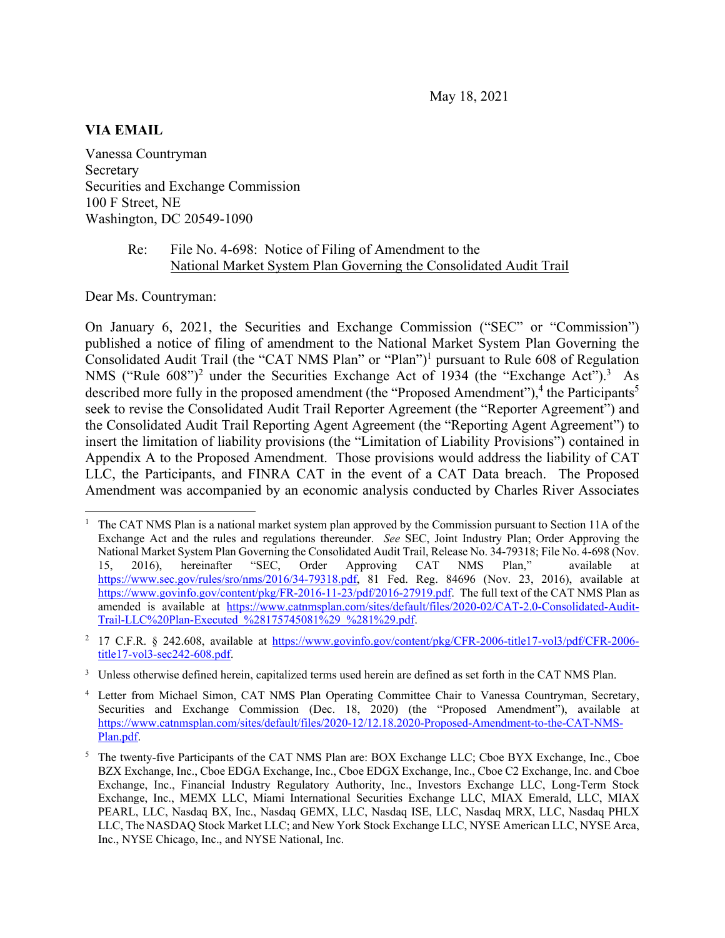#### **VIA EMAIL**

Vanessa Countryman Secretary Securities and Exchange Commission 100 F Street, NE Washington, DC 20549-1090

### Re: File No. 4-698: Notice of Filing of Amendment to the National Market System Plan Governing the Consolidated Audit Trail

Dear Ms. Countryman:

On January 6, 2021, the Securities and Exchange Commission ("SEC" or "Commission") published a notice of filing of amendment to the National Market System Plan Governing the Consolidated Audit Trail (the "CAT NMS Plan" or "Plan")<sup>1</sup> pursuant to Rule 608 of Regulation NMS ("Rule  $608$ ")<sup>2</sup> under the Securities Exchange Act of 1934 (the "Exchange Act").<sup>3</sup> As described more fully in the proposed amendment (the "Proposed Amendment"),<sup>4</sup> the Participants<sup>5</sup> seek to revise the Consolidated Audit Trail Reporter Agreement (the "Reporter Agreement") and the Consolidated Audit Trail Reporting Agent Agreement (the "Reporting Agent Agreement") to insert the limitation of liability provisions (the "Limitation of Liability Provisions") contained in Appendix A to the Proposed Amendment. Those provisions would address the liability of CAT LLC, the Participants, and FINRA CAT in the event of a CAT Data breach. The Proposed Amendment was accompanied by an economic analysis conducted by Charles River Associates

<sup>1</sup> The CAT NMS Plan is a national market system plan approved by the Commission pursuant to Section 11A of the Exchange Act and the rules and regulations thereunder. *See* SEC, Joint Industry Plan; Order Approving the National Market System Plan Governing the Consolidated Audit Trail, Release No. 34-79318; File No. 4-698 (Nov. 15, 2016), hereinafter "SEC, Order Approving CAT NMS Plan," available at https://www.sec.gov/rules/sro/nms/2016/34-79318.pdf, 81 Fed. Reg. 84696 (Nov. 23, 2016), available at https://www.govinfo.gov/content/pkg/FR-2016-11-23/pdf/2016-27919.pdf. The full text of the CAT NMS Plan as amended is available at https://www.catnmsplan.com/sites/default/files/2020-02/CAT-2.0-Consolidated-Audit-Trail-LLC%20Plan-Executed\_%28175745081%29\_%281%29.pdf.

<sup>&</sup>lt;sup>2</sup> 17 C.F.R. § 242.608, available at https://www.govinfo.gov/content/pkg/CFR-2006-title17-vol3/pdf/CFR-2006title17-vol3-sec242-608.pdf.

<sup>&</sup>lt;sup>3</sup> Unless otherwise defined herein, capitalized terms used herein are defined as set forth in the CAT NMS Plan.

<sup>4</sup> Letter from Michael Simon, CAT NMS Plan Operating Committee Chair to Vanessa Countryman, Secretary, Securities and Exchange Commission (Dec. 18, 2020) (the "Proposed Amendment"), available at https://www.catnmsplan.com/sites/default/files/2020-12/12.18.2020-Proposed-Amendment-to-the-CAT-NMS-Plan.pdf.

<sup>&</sup>lt;sup>5</sup> The twenty-five Participants of the CAT NMS Plan are: BOX Exchange LLC; Cboe BYX Exchange, Inc., Cboe BZX Exchange, Inc., Cboe EDGA Exchange, Inc., Cboe EDGX Exchange, Inc., Cboe C2 Exchange, Inc. and Cboe Exchange, Inc., Financial Industry Regulatory Authority, Inc., Investors Exchange LLC, Long-Term Stock Exchange, Inc., MEMX LLC, Miami International Securities Exchange LLC, MIAX Emerald, LLC, MIAX PEARL, LLC, Nasdaq BX, Inc., Nasdaq GEMX, LLC, Nasdaq ISE, LLC, Nasdaq MRX, LLC, Nasdaq PHLX LLC, The NASDAQ Stock Market LLC; and New York Stock Exchange LLC, NYSE American LLC, NYSE Arca, Inc., NYSE Chicago, Inc., and NYSE National, Inc.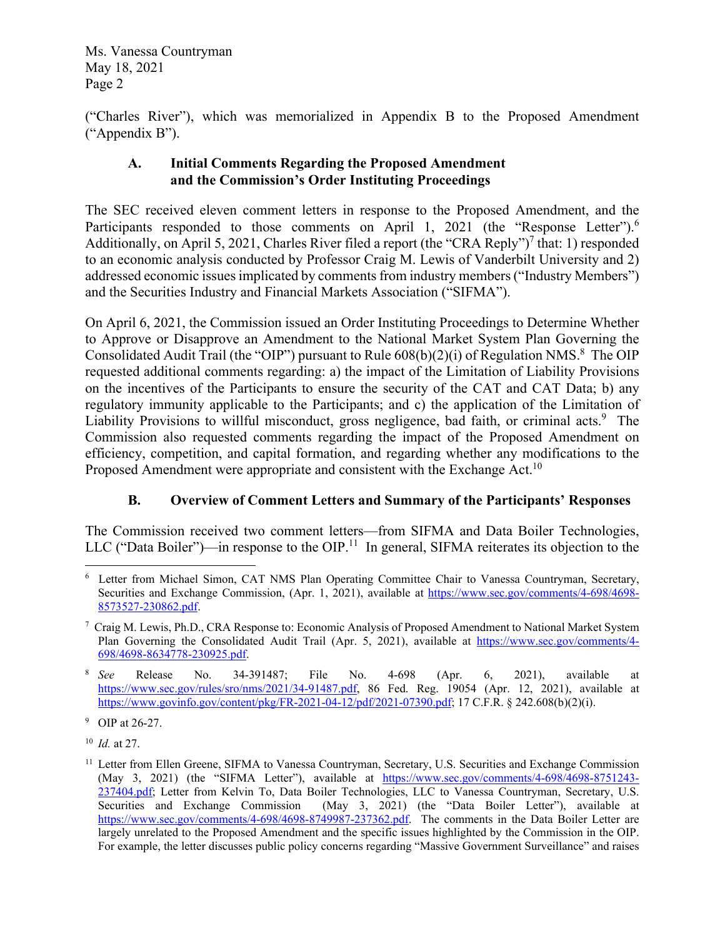("Charles River"), which was memorialized in Appendix B to the Proposed Amendment ("Appendix B").

## **A. Initial Comments Regarding the Proposed Amendment and the Commission's Order Instituting Proceedings**

The SEC received eleven comment letters in response to the Proposed Amendment, and the Participants responded to those comments on April 1, 2021 (the "Response Letter").<sup>6</sup> Additionally, on April 5, 2021, Charles River filed a report (the "CRA Reply")<sup>7</sup> that: 1) responded to an economic analysis conducted by Professor Craig M. Lewis of Vanderbilt University and 2) addressed economic issues implicated by comments from industry members ("Industry Members") and the Securities Industry and Financial Markets Association ("SIFMA").

On April 6, 2021, the Commission issued an Order Instituting Proceedings to Determine Whether to Approve or Disapprove an Amendment to the National Market System Plan Governing the Consolidated Audit Trail (the "OIP") pursuant to Rule  $608(b)(2)(i)$  of Regulation NMS.<sup>8</sup> The OIP requested additional comments regarding: a) the impact of the Limitation of Liability Provisions on the incentives of the Participants to ensure the security of the CAT and CAT Data; b) any regulatory immunity applicable to the Participants; and c) the application of the Limitation of Liability Provisions to willful misconduct, gross negligence, bad faith, or criminal acts.<sup>9</sup> The Commission also requested comments regarding the impact of the Proposed Amendment on efficiency, competition, and capital formation, and regarding whether any modifications to the Proposed Amendment were appropriate and consistent with the Exchange Act.<sup>10</sup>

# **B. Overview of Comment Letters and Summary of the Participants' Responses**

The Commission received two comment letters—from SIFMA and Data Boiler Technologies, LLC ("Data Boiler")—in response to the OIP.<sup>11</sup> In general, SIFMA reiterates its objection to the

<sup>9</sup> OIP at 26-27.

10 *Id.* at 27.

<sup>&</sup>lt;sup>6</sup> Letter from Michael Simon, CAT NMS Plan Operating Committee Chair to Vanessa Countryman, Secretary, Securities and Exchange Commission, (Apr. 1, 2021), available at https://www.sec.gov/comments/4-698/4698-8573527-230862.pdf.

<sup>&</sup>lt;sup>7</sup> Craig M. Lewis, Ph.D., CRA Response to: Economic Analysis of Proposed Amendment to National Market System Plan Governing the Consolidated Audit Trail (Apr. 5, 2021), available at https://www.sec.gov/comments/4- 698/4698-8634778-230925.pdf.

<sup>&</sup>lt;sup>8</sup> See *See* Release No. 34-391487; File No. 4-698 (Apr. 6, 2021), available at https://www.sec.gov/rules/sro/nms/2021/34-91487.pdf, 86 Fed. Reg. 19054 (Apr. 12, 2021), available at https://www.govinfo.gov/content/pkg/FR-2021-04-12/pdf/2021-07390.pdf; 17 C.F.R. § 242.608(b)(2)(i).

<sup>&</sup>lt;sup>11</sup> Letter from Ellen Greene, SIFMA to Vanessa Countryman, Secretary, U.S. Securities and Exchange Commission (May 3, 2021) (the "SIFMA Letter"), available at https://www.sec.gov/comments/4-698/4698-8751243- 237404.pdf; Letter from Kelvin To, Data Boiler Technologies, LLC to Vanessa Countryman, Secretary, U.S. Securities and Exchange Commission (May 3, 2021) (the "Data Boiler Letter"), available at https://www.sec.gov/comments/4-698/4698-8749987-237362.pdf. The comments in the Data Boiler Letter are largely unrelated to the Proposed Amendment and the specific issues highlighted by the Commission in the OIP. For example, the letter discusses public policy concerns regarding "Massive Government Surveillance" and raises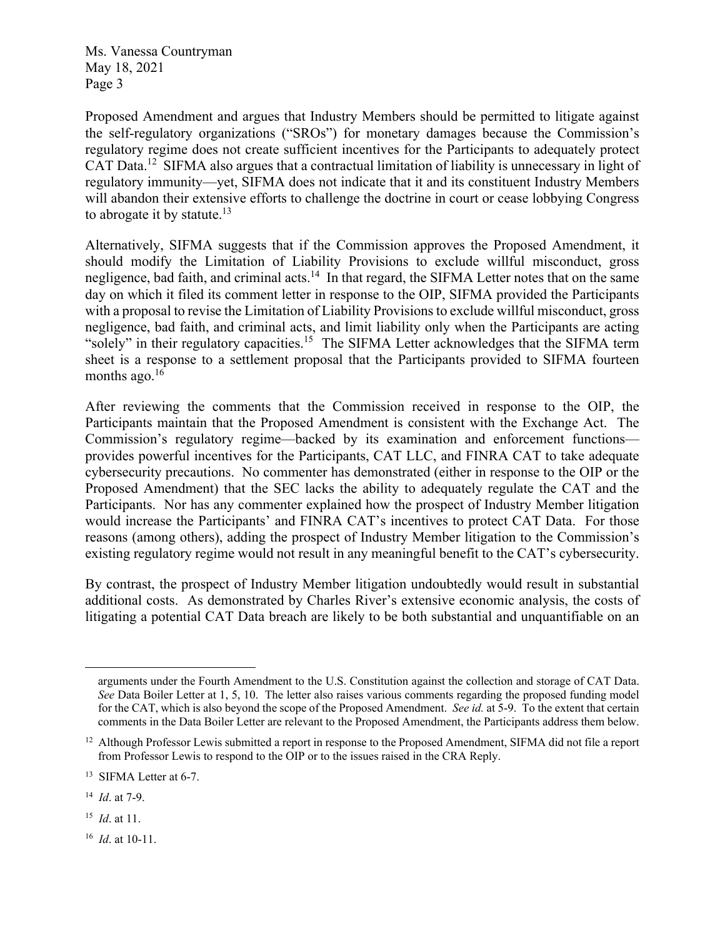Proposed Amendment and argues that Industry Members should be permitted to litigate against the self-regulatory organizations ("SROs") for monetary damages because the Commission's regulatory regime does not create sufficient incentives for the Participants to adequately protect CAT Data.<sup>12</sup> SIFMA also argues that a contractual limitation of liability is unnecessary in light of regulatory immunity—yet, SIFMA does not indicate that it and its constituent Industry Members will abandon their extensive efforts to challenge the doctrine in court or cease lobbying Congress to abrogate it by statute.<sup>13</sup>

Alternatively, SIFMA suggests that if the Commission approves the Proposed Amendment, it should modify the Limitation of Liability Provisions to exclude willful misconduct, gross negligence, bad faith, and criminal acts.<sup>14</sup> In that regard, the SIFMA Letter notes that on the same day on which it filed its comment letter in response to the OIP, SIFMA provided the Participants with a proposal to revise the Limitation of Liability Provisions to exclude willful misconduct, gross negligence, bad faith, and criminal acts, and limit liability only when the Participants are acting "solely" in their regulatory capacities.<sup>15</sup> The SIFMA Letter acknowledges that the SIFMA term sheet is a response to a settlement proposal that the Participants provided to SIFMA fourteen months ago. $16$ 

After reviewing the comments that the Commission received in response to the OIP, the Participants maintain that the Proposed Amendment is consistent with the Exchange Act. The Commission's regulatory regime—backed by its examination and enforcement functions provides powerful incentives for the Participants, CAT LLC, and FINRA CAT to take adequate cybersecurity precautions. No commenter has demonstrated (either in response to the OIP or the Proposed Amendment) that the SEC lacks the ability to adequately regulate the CAT and the Participants. Nor has any commenter explained how the prospect of Industry Member litigation would increase the Participants' and FINRA CAT's incentives to protect CAT Data. For those reasons (among others), adding the prospect of Industry Member litigation to the Commission's existing regulatory regime would not result in any meaningful benefit to the CAT's cybersecurity.

By contrast, the prospect of Industry Member litigation undoubtedly would result in substantial additional costs. As demonstrated by Charles River's extensive economic analysis, the costs of litigating a potential CAT Data breach are likely to be both substantial and unquantifiable on an

arguments under the Fourth Amendment to the U.S. Constitution against the collection and storage of CAT Data. *See* Data Boiler Letter at 1, 5, 10. The letter also raises various comments regarding the proposed funding model for the CAT, which is also beyond the scope of the Proposed Amendment. *See id.* at 5-9. To the extent that certain comments in the Data Boiler Letter are relevant to the Proposed Amendment, the Participants address them below.

<sup>&</sup>lt;sup>12</sup> Although Professor Lewis submitted a report in response to the Proposed Amendment, SIFMA did not file a report from Professor Lewis to respond to the OIP or to the issues raised in the CRA Reply.

<sup>&</sup>lt;sup>13</sup> SIFMA Letter at 6-7.

<sup>14</sup> *Id*. at 7-9.

<sup>15</sup> *Id*. at 11.

<sup>16</sup> *Id*. at 10-11.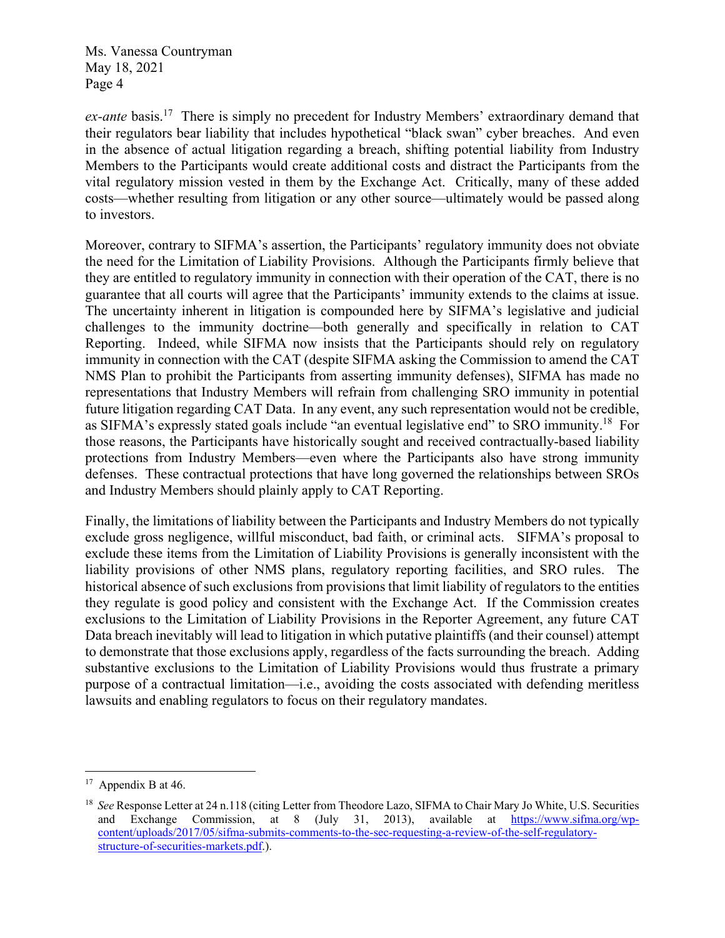*ex-ante* basis.<sup>17</sup> There is simply no precedent for Industry Members' extraordinary demand that their regulators bear liability that includes hypothetical "black swan" cyber breaches. And even in the absence of actual litigation regarding a breach, shifting potential liability from Industry Members to the Participants would create additional costs and distract the Participants from the vital regulatory mission vested in them by the Exchange Act. Critically, many of these added costs—whether resulting from litigation or any other source—ultimately would be passed along to investors.

Moreover, contrary to SIFMA's assertion, the Participants' regulatory immunity does not obviate the need for the Limitation of Liability Provisions. Although the Participants firmly believe that they are entitled to regulatory immunity in connection with their operation of the CAT, there is no guarantee that all courts will agree that the Participants' immunity extends to the claims at issue. The uncertainty inherent in litigation is compounded here by SIFMA's legislative and judicial challenges to the immunity doctrine—both generally and specifically in relation to CAT Reporting. Indeed, while SIFMA now insists that the Participants should rely on regulatory immunity in connection with the CAT (despite SIFMA asking the Commission to amend the CAT NMS Plan to prohibit the Participants from asserting immunity defenses), SIFMA has made no representations that Industry Members will refrain from challenging SRO immunity in potential future litigation regarding CAT Data. In any event, any such representation would not be credible, as SIFMA's expressly stated goals include "an eventual legislative end" to SRO immunity.18 For those reasons, the Participants have historically sought and received contractually-based liability protections from Industry Members—even where the Participants also have strong immunity defenses. These contractual protections that have long governed the relationships between SROs and Industry Members should plainly apply to CAT Reporting.

Finally, the limitations of liability between the Participants and Industry Members do not typically exclude gross negligence, willful misconduct, bad faith, or criminal acts. SIFMA's proposal to exclude these items from the Limitation of Liability Provisions is generally inconsistent with the liability provisions of other NMS plans, regulatory reporting facilities, and SRO rules. The historical absence of such exclusions from provisions that limit liability of regulators to the entities they regulate is good policy and consistent with the Exchange Act. If the Commission creates exclusions to the Limitation of Liability Provisions in the Reporter Agreement, any future CAT Data breach inevitably will lead to litigation in which putative plaintiffs (and their counsel) attempt to demonstrate that those exclusions apply, regardless of the facts surrounding the breach. Adding substantive exclusions to the Limitation of Liability Provisions would thus frustrate a primary purpose of a contractual limitation—i.e., avoiding the costs associated with defending meritless lawsuits and enabling regulators to focus on their regulatory mandates.

Appendix B at 46.

<sup>18</sup> *See* Response Letter at 24 n.118 (citing Letter from Theodore Lazo, SIFMA to Chair Mary Jo White, U.S. Securities and Exchange Commission, at 8 (July 31, 2013), available at https://www.sifma.org/wpcontent/uploads/2017/05/sifma-submits-comments-to-the-sec-requesting-a-review-of-the-self-regulatorystructure-of-securities-markets.pdf.).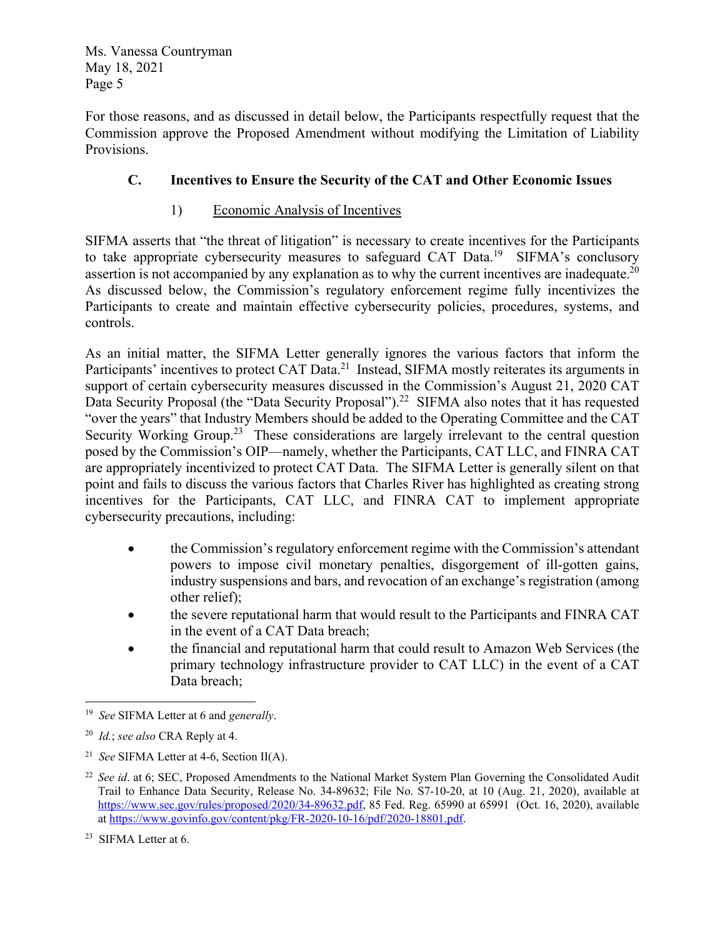For those reasons, and as discussed in detail below, the Participants respectfully request that the Commission approve the Proposed Amendment without modifying the Limitation of Liability Provisions.

# **C. Incentives to Ensure the Security of the CAT and Other Economic Issues**

## 1) Economic Analysis of Incentives

SIFMA asserts that "the threat of litigation" is necessary to create incentives for the Participants to take appropriate cybersecurity measures to safeguard CAT Data.<sup>19</sup> SIFMA's conclusory assertion is not accompanied by any explanation as to why the current incentives are inadequate.<sup>20</sup> As discussed below, the Commission's regulatory enforcement regime fully incentivizes the Participants to create and maintain effective cybersecurity policies, procedures, systems, and controls.

As an initial matter, the SIFMA Letter generally ignores the various factors that inform the Participants' incentives to protect CAT Data.<sup>21</sup> Instead, SIFMA mostly reiterates its arguments in support of certain cybersecurity measures discussed in the Commission's August 21, 2020 CAT Data Security Proposal (the "Data Security Proposal").<sup>22</sup> SIFMA also notes that it has requested "over the years" that Industry Members should be added to the Operating Committee and the CAT Security Working Group.<sup>23</sup> These considerations are largely irrelevant to the central question posed by the Commission's OIP—namely, whether the Participants, CAT LLC, and FINRA CAT are appropriately incentivized to protect CAT Data. The SIFMA Letter is generally silent on that point and fails to discuss the various factors that Charles River has highlighted as creating strong incentives for the Participants, CAT LLC, and FINRA CAT to implement appropriate cybersecurity precautions, including:

- the Commission's regulatory enforcement regime with the Commission's attendant powers to impose civil monetary penalties, disgorgement of ill-gotten gains, industry suspensions and bars, and revocation of an exchange's registration (among other relief);
- the severe reputational harm that would result to the Participants and FINRA CAT in the event of a CAT Data breach;
- the financial and reputational harm that could result to Amazon Web Services (the primary technology infrastructure provider to CAT LLC) in the event of a CAT Data breach;

<sup>19</sup> *See* SIFMA Letter at 6 and *generally*.

<sup>20</sup> *Id.*; *see also* CRA Reply at 4.

<sup>21</sup> *See* SIFMA Letter at 4-6, Section II(A).

<sup>&</sup>lt;sup>22</sup> *See id.* at 6; SEC, Proposed Amendments to the National Market System Plan Governing the Consolidated Audit Trail to Enhance Data Security, Release No. 34-89632; File No. S7-10-20, at 10 (Aug. 21, 2020), available at https://www.sec.gov/rules/proposed/2020/34-89632.pdf, 85 Fed. Reg. 65990 at 65991 (Oct. 16, 2020), available at https://www.govinfo.gov/content/pkg/FR-2020-10-16/pdf/2020-18801.pdf.

<sup>23</sup> SIFMA Letter at 6.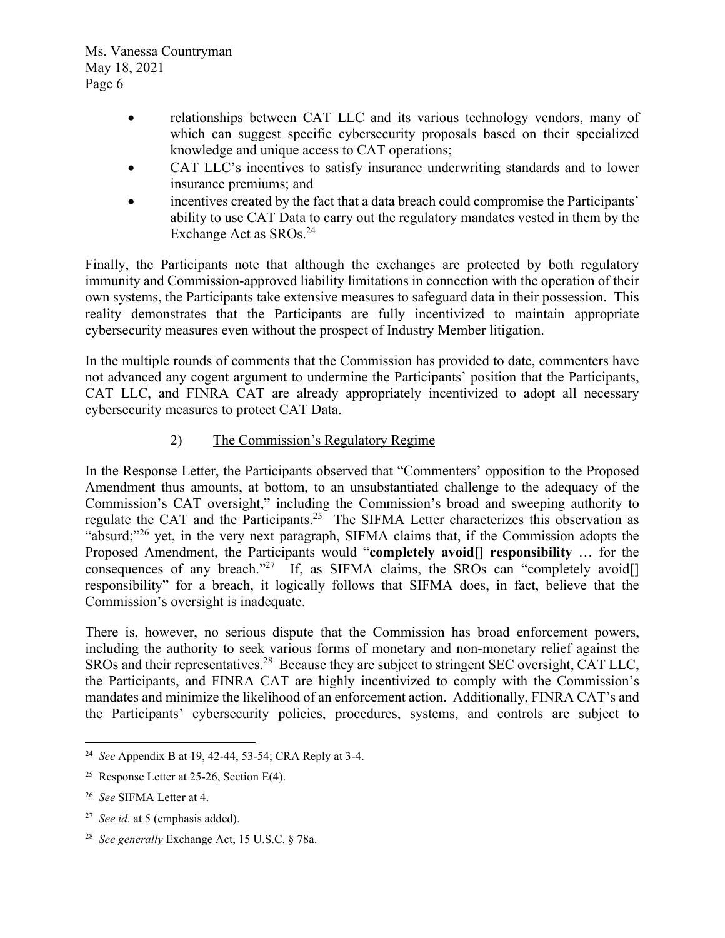- relationships between CAT LLC and its various technology vendors, many of which can suggest specific cybersecurity proposals based on their specialized knowledge and unique access to CAT operations;
- CAT LLC's incentives to satisfy insurance underwriting standards and to lower insurance premiums; and
- incentives created by the fact that a data breach could compromise the Participants' ability to use CAT Data to carry out the regulatory mandates vested in them by the Exchange Act as SROs.<sup>24</sup>

Finally, the Participants note that although the exchanges are protected by both regulatory immunity and Commission-approved liability limitations in connection with the operation of their own systems, the Participants take extensive measures to safeguard data in their possession. This reality demonstrates that the Participants are fully incentivized to maintain appropriate cybersecurity measures even without the prospect of Industry Member litigation.

In the multiple rounds of comments that the Commission has provided to date, commenters have not advanced any cogent argument to undermine the Participants' position that the Participants, CAT LLC, and FINRA CAT are already appropriately incentivized to adopt all necessary cybersecurity measures to protect CAT Data.

## 2) The Commission's Regulatory Regime

In the Response Letter, the Participants observed that "Commenters' opposition to the Proposed Amendment thus amounts, at bottom, to an unsubstantiated challenge to the adequacy of the Commission's CAT oversight," including the Commission's broad and sweeping authority to regulate the CAT and the Participants.<sup>25</sup> The SIFMA Letter characterizes this observation as "absurd;"<sup>26</sup> yet, in the very next paragraph, SIFMA claims that, if the Commission adopts the Proposed Amendment, the Participants would "**completely avoid[] responsibility** … for the consequences of any breach."<sup>27</sup> If, as SIFMA claims, the SROs can "completely avoid[] responsibility" for a breach, it logically follows that SIFMA does, in fact, believe that the Commission's oversight is inadequate.

There is, however, no serious dispute that the Commission has broad enforcement powers, including the authority to seek various forms of monetary and non-monetary relief against the SROs and their representatives.<sup>28</sup> Because they are subject to stringent SEC oversight, CAT LLC, the Participants, and FINRA CAT are highly incentivized to comply with the Commission's mandates and minimize the likelihood of an enforcement action. Additionally, FINRA CAT's and the Participants' cybersecurity policies, procedures, systems, and controls are subject to

<sup>24</sup> *See* Appendix B at 19, 42-44, 53-54; CRA Reply at 3-4.

<sup>&</sup>lt;sup>25</sup> Response Letter at 25-26, Section E(4).

<sup>26</sup> *See* SIFMA Letter at 4.

<sup>27</sup> *See id*. at 5 (emphasis added).

<sup>28</sup> *See generally* Exchange Act, 15 U.S.C. § 78a.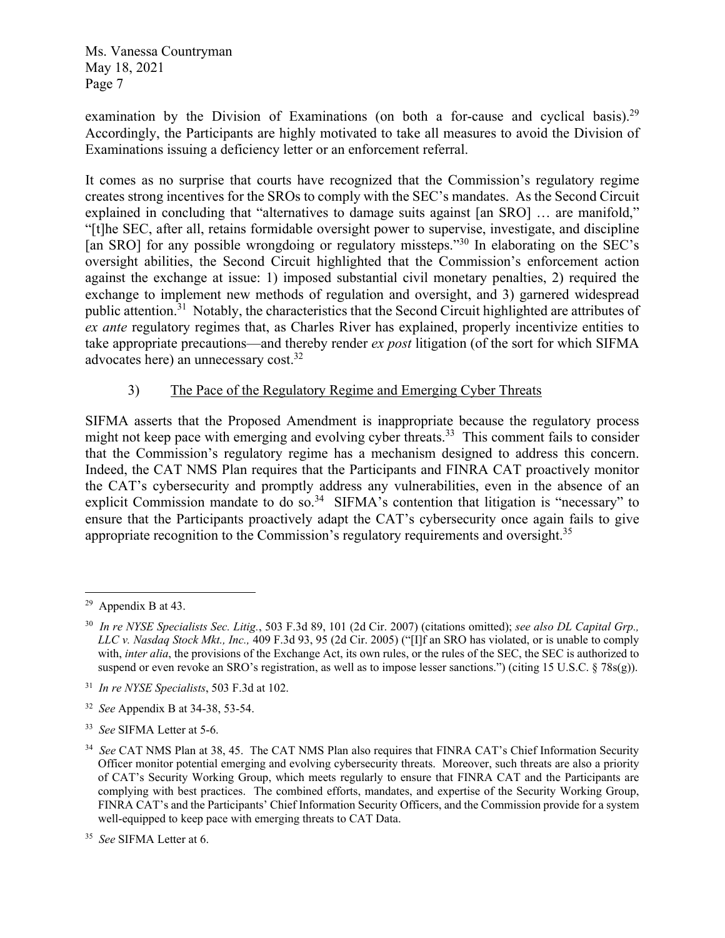examination by the Division of Examinations (on both a for-cause and cyclical basis).<sup>29</sup> Accordingly, the Participants are highly motivated to take all measures to avoid the Division of Examinations issuing a deficiency letter or an enforcement referral.

It comes as no surprise that courts have recognized that the Commission's regulatory regime creates strong incentives for the SROs to comply with the SEC's mandates. As the Second Circuit explained in concluding that "alternatives to damage suits against [an SRO] ... are manifold," "[t]he SEC, after all, retains formidable oversight power to supervise, investigate, and discipline [an SRO] for any possible wrongdoing or regulatory missteps."<sup>30</sup> In elaborating on the SEC's oversight abilities, the Second Circuit highlighted that the Commission's enforcement action against the exchange at issue: 1) imposed substantial civil monetary penalties, 2) required the exchange to implement new methods of regulation and oversight, and 3) garnered widespread public attention.31 Notably, the characteristics that the Second Circuit highlighted are attributes of *ex ante* regulatory regimes that, as Charles River has explained, properly incentivize entities to take appropriate precautions—and thereby render *ex post* litigation (of the sort for which SIFMA advocates here) an unnecessary cost.32

## 3) The Pace of the Regulatory Regime and Emerging Cyber Threats

SIFMA asserts that the Proposed Amendment is inappropriate because the regulatory process might not keep pace with emerging and evolving cyber threats.<sup>33</sup> This comment fails to consider that the Commission's regulatory regime has a mechanism designed to address this concern. Indeed, the CAT NMS Plan requires that the Participants and FINRA CAT proactively monitor the CAT's cybersecurity and promptly address any vulnerabilities, even in the absence of an explicit Commission mandate to do so.<sup>34</sup> SIFMA's contention that litigation is "necessary" to ensure that the Participants proactively adapt the CAT's cybersecurity once again fails to give appropriate recognition to the Commission's regulatory requirements and oversight.<sup>35</sup>

<sup>&</sup>lt;sup>29</sup> Appendix B at 43.

<sup>30</sup> *In re NYSE Specialists Sec. Litig.*, 503 F.3d 89, 101 (2d Cir. 2007) (citations omitted); *see also DL Capital Grp., LLC v. Nasdaq Stock Mkt., Inc.,* 409 F.3d 93, 95 (2d Cir. 2005) ("[I]f an SRO has violated, or is unable to comply with, *inter alia*, the provisions of the Exchange Act, its own rules, or the rules of the SEC, the SEC is authorized to suspend or even revoke an SRO's registration, as well as to impose lesser sanctions.") (citing 15 U.S.C.  $\S$  78s(g)).

<sup>31</sup> *In re NYSE Specialists*, 503 F.3d at 102.

<sup>32</sup> *See* Appendix B at 34-38, 53-54.

<sup>33</sup> *See* SIFMA Letter at 5-6.

<sup>34</sup> *See* CAT NMS Plan at 38, 45. The CAT NMS Plan also requires that FINRA CAT's Chief Information Security Officer monitor potential emerging and evolving cybersecurity threats. Moreover, such threats are also a priority of CAT's Security Working Group, which meets regularly to ensure that FINRA CAT and the Participants are complying with best practices. The combined efforts, mandates, and expertise of the Security Working Group, FINRA CAT's and the Participants' Chief Information Security Officers, and the Commission provide for a system well-equipped to keep pace with emerging threats to CAT Data.

<sup>35</sup> *See* SIFMA Letter at 6.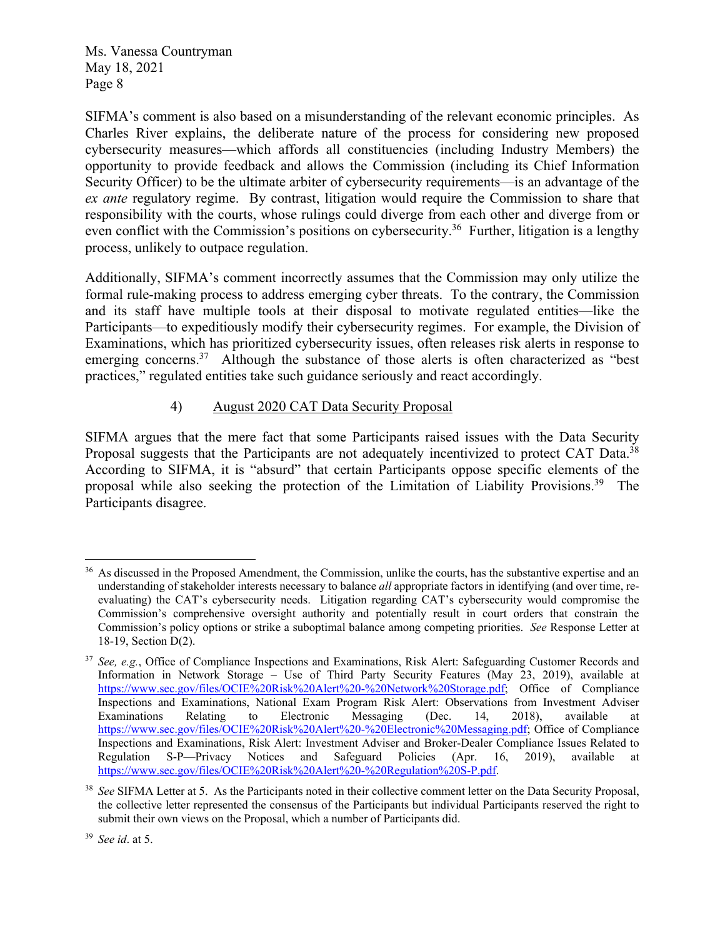SIFMA's comment is also based on a misunderstanding of the relevant economic principles. As Charles River explains, the deliberate nature of the process for considering new proposed cybersecurity measures—which affords all constituencies (including Industry Members) the opportunity to provide feedback and allows the Commission (including its Chief Information Security Officer) to be the ultimate arbiter of cybersecurity requirements—is an advantage of the *ex ante* regulatory regime. By contrast, litigation would require the Commission to share that responsibility with the courts, whose rulings could diverge from each other and diverge from or even conflict with the Commission's positions on cybersecurity.<sup>36</sup> Further, litigation is a lengthy process, unlikely to outpace regulation.

Additionally, SIFMA's comment incorrectly assumes that the Commission may only utilize the formal rule-making process to address emerging cyber threats. To the contrary, the Commission and its staff have multiple tools at their disposal to motivate regulated entities—like the Participants—to expeditiously modify their cybersecurity regimes. For example, the Division of Examinations, which has prioritized cybersecurity issues, often releases risk alerts in response to emerging concerns.<sup>37</sup> Although the substance of those alerts is often characterized as "best" practices," regulated entities take such guidance seriously and react accordingly.

## 4) August 2020 CAT Data Security Proposal

SIFMA argues that the mere fact that some Participants raised issues with the Data Security Proposal suggests that the Participants are not adequately incentivized to protect CAT Data.<sup>38</sup> According to SIFMA, it is "absurd" that certain Participants oppose specific elements of the proposal while also seeking the protection of the Limitation of Liability Provisions.<sup>39</sup> The Participants disagree.

As discussed in the Proposed Amendment, the Commission, unlike the courts, has the substantive expertise and an understanding of stakeholder interests necessary to balance *all* appropriate factors in identifying (and over time, reevaluating) the CAT's cybersecurity needs. Litigation regarding CAT's cybersecurity would compromise the Commission's comprehensive oversight authority and potentially result in court orders that constrain the Commission's policy options or strike a suboptimal balance among competing priorities. *See* Response Letter at 18-19, Section D(2).

<sup>37</sup> *See, e.g.*, Office of Compliance Inspections and Examinations, Risk Alert: Safeguarding Customer Records and Information in Network Storage – Use of Third Party Security Features (May 23, 2019), available at https://www.sec.gov/files/OCIE%20Risk%20Alert%20-%20Network%20Storage.pdf; Office of Compliance Inspections and Examinations, National Exam Program Risk Alert: Observations from Investment Adviser Examinations Relating to Electronic Messaging (Dec. 14, 2018), available at https://www.sec.gov/files/OCIE%20Risk%20Alert%20-%20Electronic%20Messaging.pdf; Office of Compliance Inspections and Examinations, Risk Alert: Investment Adviser and Broker-Dealer Compliance Issues Related to Regulation S-P—Privacy Notices and Safeguard Policies (Apr. 16, 2019), available at https://www.sec.gov/files/OCIE%20Risk%20Alert%20-%20Regulation%20S-P.pdf.

<sup>38</sup> *See* SIFMA Letter at 5. As the Participants noted in their collective comment letter on the Data Security Proposal, the collective letter represented the consensus of the Participants but individual Participants reserved the right to submit their own views on the Proposal, which a number of Participants did.

<sup>39</sup> *See id*. at 5.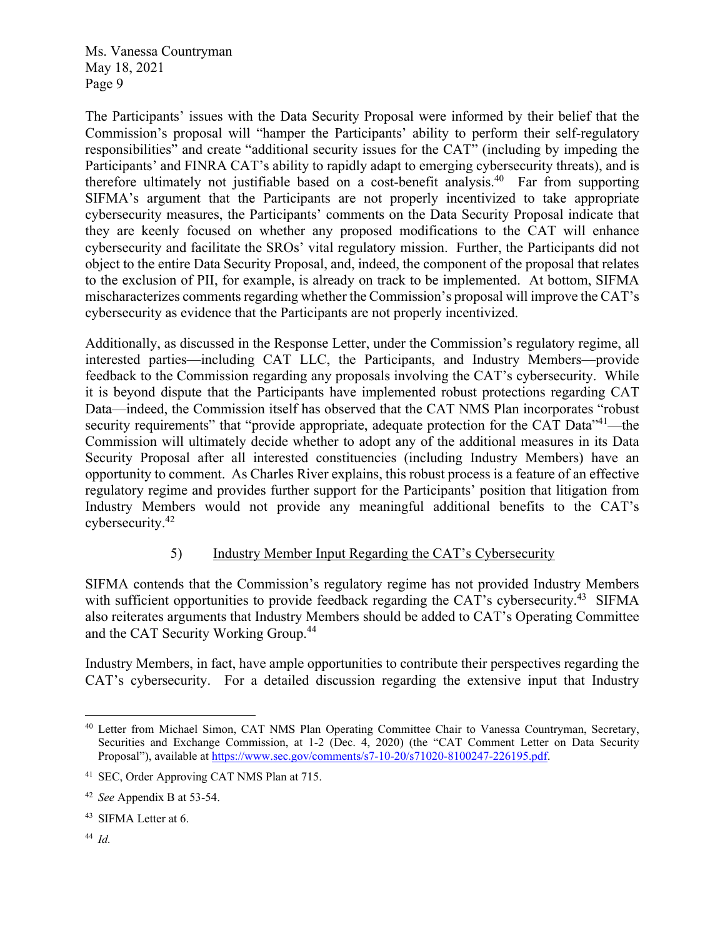The Participants' issues with the Data Security Proposal were informed by their belief that the Commission's proposal will "hamper the Participants' ability to perform their self-regulatory responsibilities" and create "additional security issues for the CAT" (including by impeding the Participants' and FINRA CAT's ability to rapidly adapt to emerging cybersecurity threats), and is therefore ultimately not justifiable based on a cost-benefit analysis.<sup>40</sup> Far from supporting SIFMA's argument that the Participants are not properly incentivized to take appropriate cybersecurity measures, the Participants' comments on the Data Security Proposal indicate that they are keenly focused on whether any proposed modifications to the CAT will enhance cybersecurity and facilitate the SROs' vital regulatory mission. Further, the Participants did not object to the entire Data Security Proposal, and, indeed, the component of the proposal that relates to the exclusion of PII, for example, is already on track to be implemented. At bottom, SIFMA mischaracterizes comments regarding whether the Commission's proposal will improve the CAT's cybersecurity as evidence that the Participants are not properly incentivized.

Additionally, as discussed in the Response Letter, under the Commission's regulatory regime, all interested parties—including CAT LLC, the Participants, and Industry Members—provide feedback to the Commission regarding any proposals involving the CAT's cybersecurity. While it is beyond dispute that the Participants have implemented robust protections regarding CAT Data—indeed, the Commission itself has observed that the CAT NMS Plan incorporates "robust security requirements" that "provide appropriate, adequate protection for the CAT Data"<sup>41</sup>—the Commission will ultimately decide whether to adopt any of the additional measures in its Data Security Proposal after all interested constituencies (including Industry Members) have an opportunity to comment. As Charles River explains, this robust process is a feature of an effective regulatory regime and provides further support for the Participants' position that litigation from Industry Members would not provide any meaningful additional benefits to the CAT's cybersecurity.42

### 5) Industry Member Input Regarding the CAT's Cybersecurity

SIFMA contends that the Commission's regulatory regime has not provided Industry Members with sufficient opportunities to provide feedback regarding the CAT's cybersecurity.<sup>43</sup> SIFMA also reiterates arguments that Industry Members should be added to CAT's Operating Committee and the CAT Security Working Group.<sup>44</sup>

Industry Members, in fact, have ample opportunities to contribute their perspectives regarding the CAT's cybersecurity. For a detailed discussion regarding the extensive input that Industry

44 *Id.* 

<sup>40</sup> Letter from Michael Simon, CAT NMS Plan Operating Committee Chair to Vanessa Countryman, Secretary, Securities and Exchange Commission, at 1-2 (Dec. 4, 2020) (the "CAT Comment Letter on Data Security Proposal"), available at https://www.sec.gov/comments/s7-10-20/s71020-8100247-226195.pdf.

<sup>41</sup> SEC, Order Approving CAT NMS Plan at 715.

<sup>42</sup> *See* Appendix B at 53-54.

<sup>43</sup> SIFMA Letter at 6.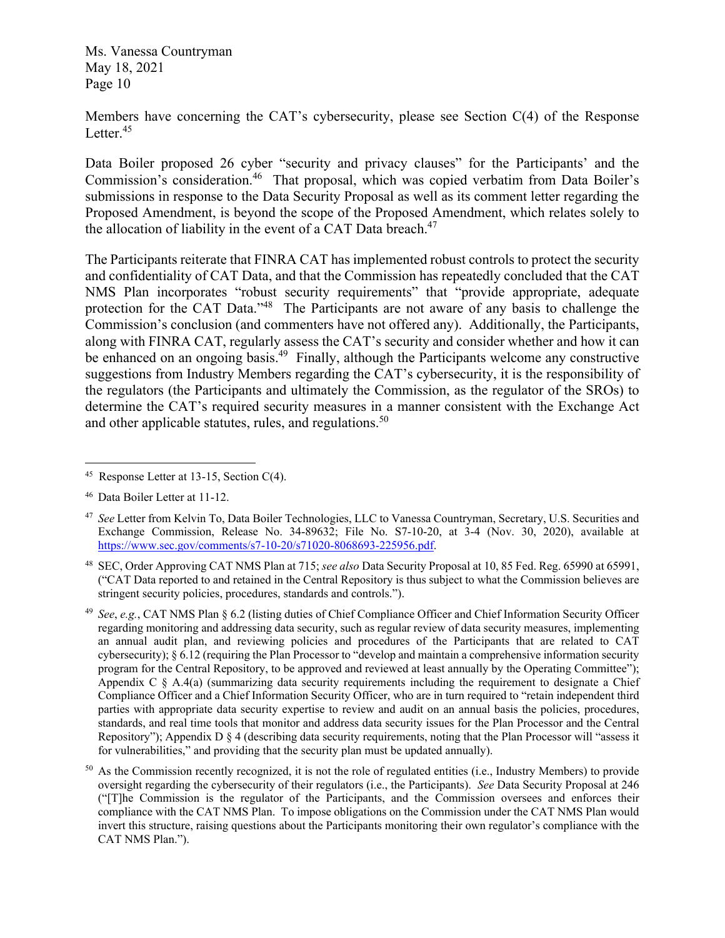Members have concerning the CAT's cybersecurity, please see Section C(4) of the Response Letter. $45$ 

Data Boiler proposed 26 cyber "security and privacy clauses" for the Participants' and the Commission's consideration.<sup>46</sup> That proposal, which was copied verbatim from Data Boiler's submissions in response to the Data Security Proposal as well as its comment letter regarding the Proposed Amendment, is beyond the scope of the Proposed Amendment, which relates solely to the allocation of liability in the event of a CAT Data breach. $47$ 

The Participants reiterate that FINRA CAT has implemented robust controls to protect the security and confidentiality of CAT Data, and that the Commission has repeatedly concluded that the CAT NMS Plan incorporates "robust security requirements" that "provide appropriate, adequate protection for the CAT Data."<sup>48</sup> The Participants are not aware of any basis to challenge the Commission's conclusion (and commenters have not offered any). Additionally, the Participants, along with FINRA CAT, regularly assess the CAT's security and consider whether and how it can be enhanced on an ongoing basis.<sup>49</sup> Finally, although the Participants welcome any constructive suggestions from Industry Members regarding the CAT's cybersecurity, it is the responsibility of the regulators (the Participants and ultimately the Commission, as the regulator of the SROs) to determine the CAT's required security measures in a manner consistent with the Exchange Act and other applicable statutes, rules, and regulations.<sup>50</sup>

48 SEC, Order Approving CAT NMS Plan at 715; *see also* Data Security Proposal at 10, 85 Fed. Reg. 65990 at 65991, ("CAT Data reported to and retained in the Central Repository is thus subject to what the Commission believes are stringent security policies, procedures, standards and controls.").

49 *See*, *e.g.*, CAT NMS Plan § 6.2 (listing duties of Chief Compliance Officer and Chief Information Security Officer regarding monitoring and addressing data security, such as regular review of data security measures, implementing an annual audit plan, and reviewing policies and procedures of the Participants that are related to CAT cybersecurity);  $\S 6.12$  (requiring the Plan Processor to "develop and maintain a comprehensive information security program for the Central Repository, to be approved and reviewed at least annually by the Operating Committee"); Appendix C  $\S$  A.4(a) (summarizing data security requirements including the requirement to designate a Chief Compliance Officer and a Chief Information Security Officer, who are in turn required to "retain independent third parties with appropriate data security expertise to review and audit on an annual basis the policies, procedures, standards, and real time tools that monitor and address data security issues for the Plan Processor and the Central Repository"); Appendix D § 4 (describing data security requirements, noting that the Plan Processor will "assess it for vulnerabilities," and providing that the security plan must be updated annually).

 $50$  As the Commission recently recognized, it is not the role of regulated entities (i.e., Industry Members) to provide oversight regarding the cybersecurity of their regulators (i.e., the Participants). *See* Data Security Proposal at 246 ("[T]he Commission is the regulator of the Participants, and the Commission oversees and enforces their compliance with the CAT NMS Plan. To impose obligations on the Commission under the CAT NMS Plan would invert this structure, raising questions about the Participants monitoring their own regulator's compliance with the CAT NMS Plan.").

<sup>45</sup> Response Letter at 13-15, Section C(4).

<sup>46</sup> Data Boiler Letter at 11-12.

<sup>47</sup> *See* Letter from Kelvin To, Data Boiler Technologies, LLC to Vanessa Countryman, Secretary, U.S. Securities and Exchange Commission, Release No. 34-89632; File No. S7-10-20, at 3-4 (Nov. 30, 2020), available at https://www.sec.gov/comments/s7-10-20/s71020-8068693-225956.pdf.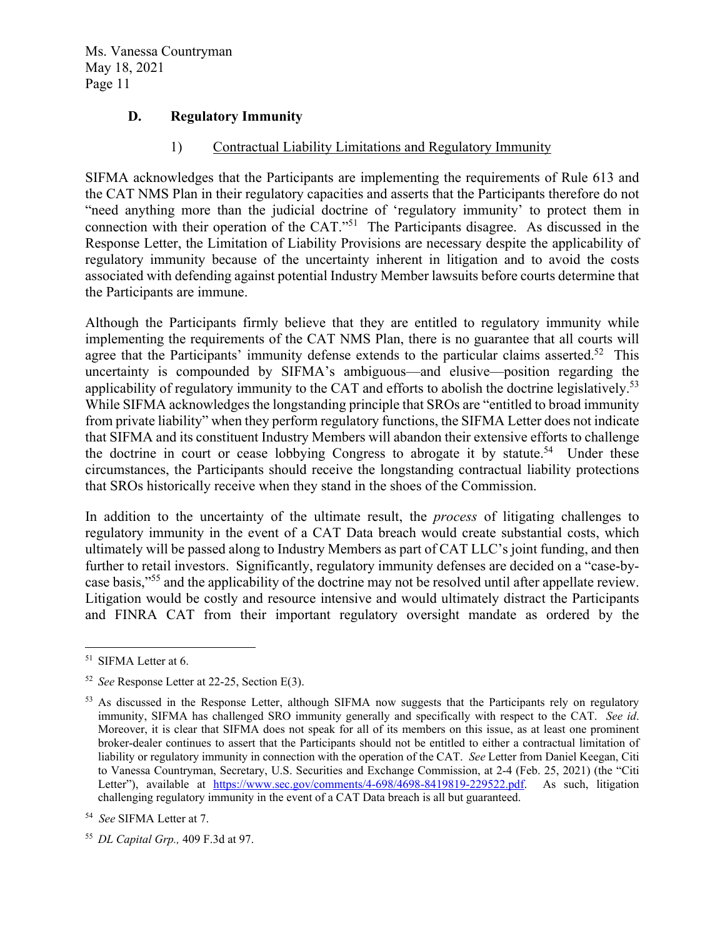### **D. Regulatory Immunity**

#### 1) Contractual Liability Limitations and Regulatory Immunity

SIFMA acknowledges that the Participants are implementing the requirements of Rule 613 and the CAT NMS Plan in their regulatory capacities and asserts that the Participants therefore do not "need anything more than the judicial doctrine of 'regulatory immunity' to protect them in connection with their operation of the CAT."51 The Participants disagree. As discussed in the Response Letter, the Limitation of Liability Provisions are necessary despite the applicability of regulatory immunity because of the uncertainty inherent in litigation and to avoid the costs associated with defending against potential Industry Member lawsuits before courts determine that the Participants are immune.

Although the Participants firmly believe that they are entitled to regulatory immunity while implementing the requirements of the CAT NMS Plan, there is no guarantee that all courts will agree that the Participants' immunity defense extends to the particular claims asserted.<sup>52</sup> This uncertainty is compounded by SIFMA's ambiguous—and elusive—position regarding the applicability of regulatory immunity to the CAT and efforts to abolish the doctrine legislatively.<sup>53</sup> While SIFMA acknowledges the longstanding principle that SROs are "entitled to broad immunity from private liability" when they perform regulatory functions, the SIFMA Letter does not indicate that SIFMA and its constituent Industry Members will abandon their extensive efforts to challenge the doctrine in court or cease lobbying Congress to abrogate it by statute.<sup>54</sup> Under these circumstances, the Participants should receive the longstanding contractual liability protections that SROs historically receive when they stand in the shoes of the Commission.

In addition to the uncertainty of the ultimate result, the *process* of litigating challenges to regulatory immunity in the event of a CAT Data breach would create substantial costs, which ultimately will be passed along to Industry Members as part of CAT LLC's joint funding, and then further to retail investors. Significantly, regulatory immunity defenses are decided on a "case-bycase basis,"55 and the applicability of the doctrine may not be resolved until after appellate review. Litigation would be costly and resource intensive and would ultimately distract the Participants and FINRA CAT from their important regulatory oversight mandate as ordered by the

<sup>51</sup> SIFMA Letter at 6.

<sup>52</sup> *See* Response Letter at 22-25, Section E(3).

<sup>&</sup>lt;sup>53</sup> As discussed in the Response Letter, although SIFMA now suggests that the Participants rely on regulatory immunity, SIFMA has challenged SRO immunity generally and specifically with respect to the CAT. *See id*. Moreover, it is clear that SIFMA does not speak for all of its members on this issue, as at least one prominent broker-dealer continues to assert that the Participants should not be entitled to either a contractual limitation of liability or regulatory immunity in connection with the operation of the CAT. *See* Letter from Daniel Keegan, Citi to Vanessa Countryman, Secretary, U.S. Securities and Exchange Commission, at 2-4 (Feb. 25, 2021) (the "Citi Letter"), available at https://www.sec.gov/comments/4-698/4698-8419819-229522.pdf. As such, litigation challenging regulatory immunity in the event of a CAT Data breach is all but guaranteed.

<sup>54</sup> *See* SIFMA Letter at 7.

<sup>55</sup> *DL Capital Grp.,* 409 F.3d at 97.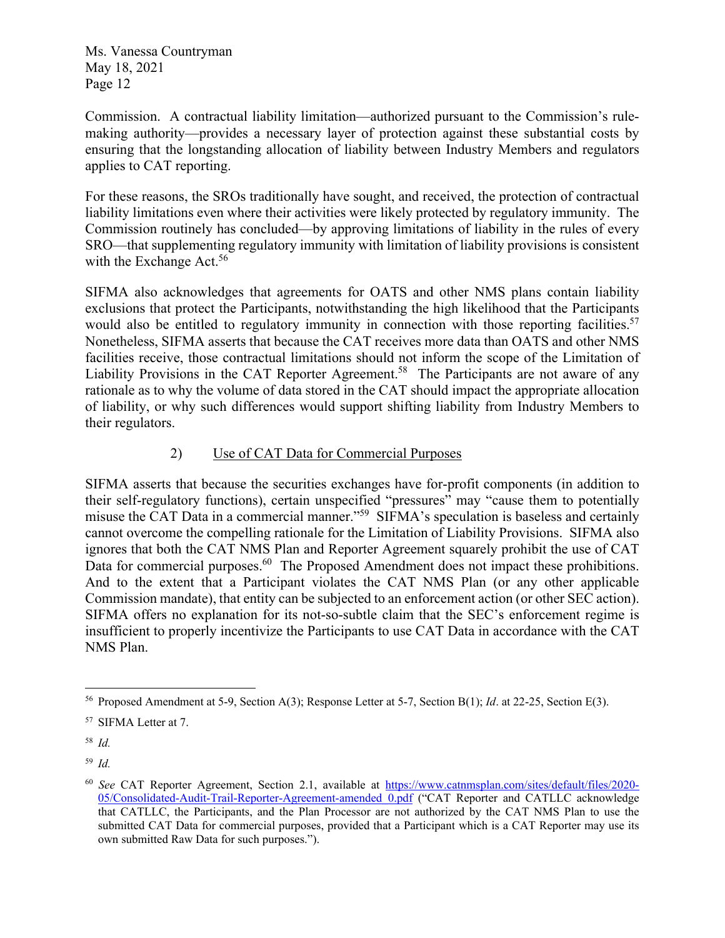Commission. A contractual liability limitation—authorized pursuant to the Commission's rulemaking authority—provides a necessary layer of protection against these substantial costs by ensuring that the longstanding allocation of liability between Industry Members and regulators applies to CAT reporting.

For these reasons, the SROs traditionally have sought, and received, the protection of contractual liability limitations even where their activities were likely protected by regulatory immunity. The Commission routinely has concluded—by approving limitations of liability in the rules of every SRO—that supplementing regulatory immunity with limitation of liability provisions is consistent with the Exchange Act.<sup>56</sup>

SIFMA also acknowledges that agreements for OATS and other NMS plans contain liability exclusions that protect the Participants, notwithstanding the high likelihood that the Participants would also be entitled to regulatory immunity in connection with those reporting facilities.<sup>57</sup> Nonetheless, SIFMA asserts that because the CAT receives more data than OATS and other NMS facilities receive, those contractual limitations should not inform the scope of the Limitation of Liability Provisions in the CAT Reporter Agreement.<sup>58</sup> The Participants are not aware of any rationale as to why the volume of data stored in the CAT should impact the appropriate allocation of liability, or why such differences would support shifting liability from Industry Members to their regulators.

# 2) Use of CAT Data for Commercial Purposes

SIFMA asserts that because the securities exchanges have for-profit components (in addition to their self-regulatory functions), certain unspecified "pressures" may "cause them to potentially misuse the CAT Data in a commercial manner."59 SIFMA's speculation is baseless and certainly cannot overcome the compelling rationale for the Limitation of Liability Provisions. SIFMA also ignores that both the CAT NMS Plan and Reporter Agreement squarely prohibit the use of CAT Data for commercial purposes.<sup>60</sup> The Proposed Amendment does not impact these prohibitions. And to the extent that a Participant violates the CAT NMS Plan (or any other applicable Commission mandate), that entity can be subjected to an enforcement action (or other SEC action). SIFMA offers no explanation for its not-so-subtle claim that the SEC's enforcement regime is insufficient to properly incentivize the Participants to use CAT Data in accordance with the CAT NMS Plan.

59 *Id.*

<sup>56</sup> Proposed Amendment at 5-9, Section A(3); Response Letter at 5-7, Section B(1); *Id*. at 22-25, Section E(3).

<sup>57</sup> SIFMA Letter at 7.

<sup>58</sup> *Id.*

<sup>60</sup> *See* CAT Reporter Agreement, Section 2.1, available at https://www.catnmsplan.com/sites/default/files/2020- 05/Consolidated-Audit-Trail-Reporter-Agreement-amended\_0.pdf ("CAT Reporter and CATLLC acknowledge that CATLLC, the Participants, and the Plan Processor are not authorized by the CAT NMS Plan to use the submitted CAT Data for commercial purposes, provided that a Participant which is a CAT Reporter may use its own submitted Raw Data for such purposes.").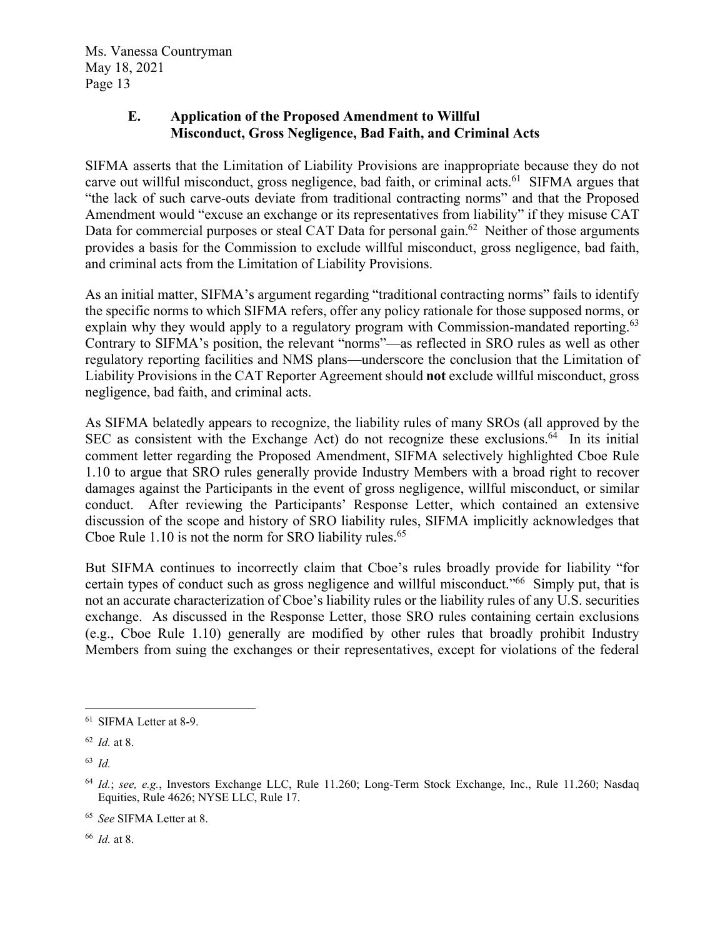### **E. Application of the Proposed Amendment to Willful Misconduct, Gross Negligence, Bad Faith, and Criminal Acts**

SIFMA asserts that the Limitation of Liability Provisions are inappropriate because they do not carve out willful misconduct, gross negligence, bad faith, or criminal acts.<sup>61</sup> SIFMA argues that "the lack of such carve-outs deviate from traditional contracting norms" and that the Proposed Amendment would "excuse an exchange or its representatives from liability" if they misuse CAT Data for commercial purposes or steal CAT Data for personal gain.<sup>62</sup> Neither of those arguments provides a basis for the Commission to exclude willful misconduct, gross negligence, bad faith, and criminal acts from the Limitation of Liability Provisions.

As an initial matter, SIFMA's argument regarding "traditional contracting norms" fails to identify the specific norms to which SIFMA refers, offer any policy rationale for those supposed norms, or explain why they would apply to a regulatory program with Commission-mandated reporting.<sup>63</sup> Contrary to SIFMA's position, the relevant "norms"—as reflected in SRO rules as well as other regulatory reporting facilities and NMS plans—underscore the conclusion that the Limitation of Liability Provisions in the CAT Reporter Agreement should **not** exclude willful misconduct, gross negligence, bad faith, and criminal acts.

As SIFMA belatedly appears to recognize, the liability rules of many SROs (all approved by the SEC as consistent with the Exchange Act) do not recognize these exclusions.<sup>64</sup> In its initial comment letter regarding the Proposed Amendment, SIFMA selectively highlighted Cboe Rule 1.10 to argue that SRO rules generally provide Industry Members with a broad right to recover damages against the Participants in the event of gross negligence, willful misconduct, or similar conduct. After reviewing the Participants' Response Letter, which contained an extensive discussion of the scope and history of SRO liability rules, SIFMA implicitly acknowledges that Cboe Rule  $1.10$  is not the norm for SRO liability rules.<sup>65</sup>

But SIFMA continues to incorrectly claim that Cboe's rules broadly provide for liability "for certain types of conduct such as gross negligence and willful misconduct."<sup>66</sup> Simply put, that is not an accurate characterization of Cboe's liability rules or the liability rules of any U.S. securities exchange. As discussed in the Response Letter, those SRO rules containing certain exclusions (e.g., Cboe Rule 1.10) generally are modified by other rules that broadly prohibit Industry Members from suing the exchanges or their representatives, except for violations of the federal

66 *Id.* at 8.

<sup>61</sup> SIFMA Letter at 8-9.

<sup>62</sup> *Id.* at 8.

<sup>63</sup> *Id.*

<sup>64</sup> *Id.*; *see, e.g.*, Investors Exchange LLC, Rule 11.260; Long-Term Stock Exchange, Inc., Rule 11.260; Nasdaq Equities, Rule 4626; NYSE LLC, Rule 17.

<sup>65</sup> *See* SIFMA Letter at 8.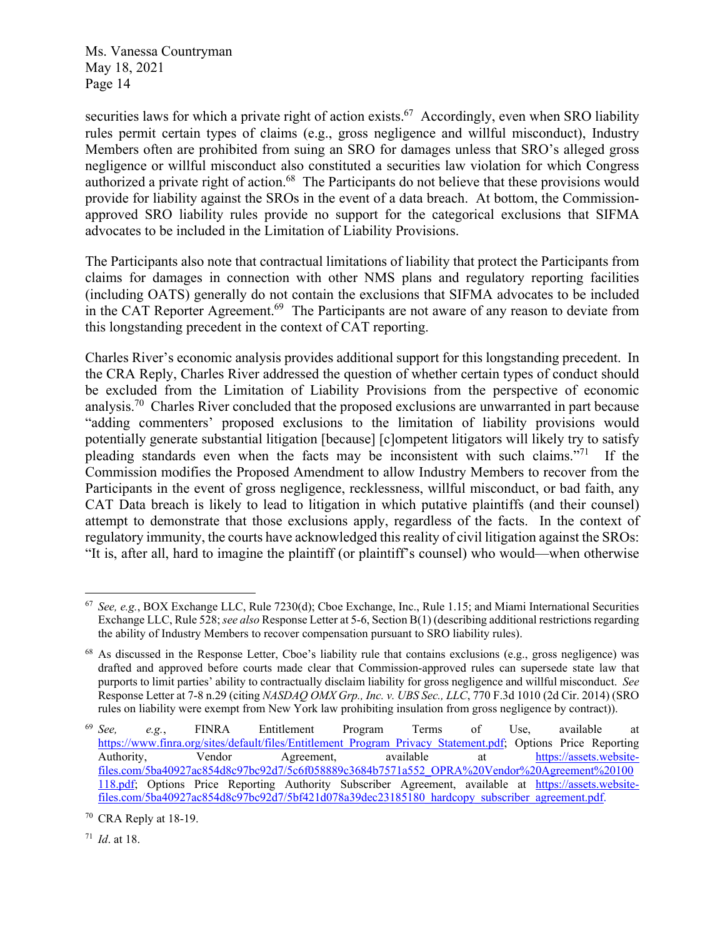securities laws for which a private right of action exists.<sup>67</sup> Accordingly, even when SRO liability rules permit certain types of claims (e.g., gross negligence and willful misconduct), Industry Members often are prohibited from suing an SRO for damages unless that SRO's alleged gross negligence or willful misconduct also constituted a securities law violation for which Congress authorized a private right of action.<sup>68</sup> The Participants do not believe that these provisions would provide for liability against the SROs in the event of a data breach. At bottom, the Commissionapproved SRO liability rules provide no support for the categorical exclusions that SIFMA advocates to be included in the Limitation of Liability Provisions.

The Participants also note that contractual limitations of liability that protect the Participants from claims for damages in connection with other NMS plans and regulatory reporting facilities (including OATS) generally do not contain the exclusions that SIFMA advocates to be included in the CAT Reporter Agreement.<sup>69</sup> The Participants are not aware of any reason to deviate from this longstanding precedent in the context of CAT reporting.

Charles River's economic analysis provides additional support for this longstanding precedent. In the CRA Reply, Charles River addressed the question of whether certain types of conduct should be excluded from the Limitation of Liability Provisions from the perspective of economic analysis.<sup>70</sup> Charles River concluded that the proposed exclusions are unwarranted in part because "adding commenters' proposed exclusions to the limitation of liability provisions would potentially generate substantial litigation [because] [c]ompetent litigators will likely try to satisfy pleading standards even when the facts may be inconsistent with such claims."71 If the Commission modifies the Proposed Amendment to allow Industry Members to recover from the Participants in the event of gross negligence, recklessness, willful misconduct, or bad faith, any CAT Data breach is likely to lead to litigation in which putative plaintiffs (and their counsel) attempt to demonstrate that those exclusions apply, regardless of the facts. In the context of regulatory immunity, the courts have acknowledged this reality of civil litigation against the SROs: "It is, after all, hard to imagine the plaintiff (or plaintiff's counsel) who would—when otherwise

<sup>67</sup> *See, e.g.*, BOX Exchange LLC, Rule 7230(d); Cboe Exchange, Inc., Rule 1.15; and Miami International Securities Exchange LLC, Rule 528; *see also* Response Letter at 5-6, Section B(1) (describing additional restrictions regarding the ability of Industry Members to recover compensation pursuant to SRO liability rules).

<sup>&</sup>lt;sup>68</sup> As discussed in the Response Letter, Cboe's liability rule that contains exclusions (e.g., gross negligence) was drafted and approved before courts made clear that Commission-approved rules can supersede state law that purports to limit parties' ability to contractually disclaim liability for gross negligence and willful misconduct. *See*  Response Letter at 7-8 n.29 (citing *NASDAQ OMX Grp., Inc. v. UBS Sec., LLC*, 770 F.3d 1010 (2d Cir. 2014) (SRO rules on liability were exempt from New York law prohibiting insulation from gross negligence by contract)).

<sup>69</sup> *See, e.g.*, FINRA Entitlement Program Terms of Use, available at https://www.finra.org/sites/default/files/Entitlement\_Program\_Privacy\_Statement.pdf; Options Price Reporting Authority, Vendor Agreement, available at https://assets.websitefiles.com/5ba40927ac854d8c97bc92d7/5c6f058889c3684b7571a552\_OPRA%20Vendor%20Agreement%20100 118.pdf; Options Price Reporting Authority Subscriber Agreement, available at https://assets.websitefiles.com/5ba40927ac854d8c97bc92d7/5bf421d078a39dec23185180\_hardcopy\_subscriber\_agreement.pdf.

 $70$  CRA Reply at 18-19.

<sup>71</sup> *Id*. at 18.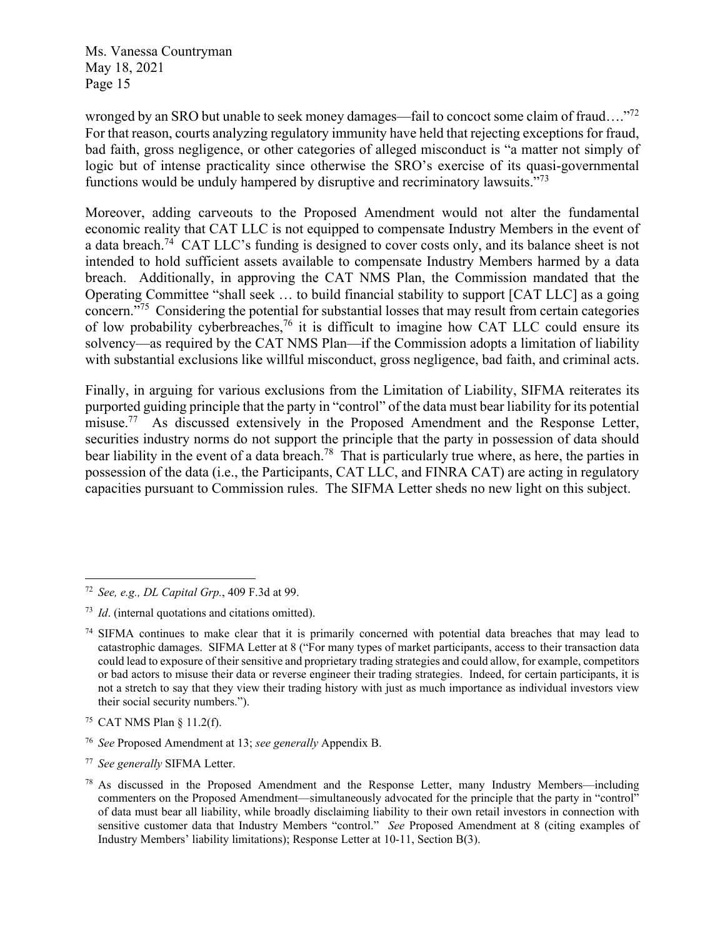wronged by an SRO but unable to seek money damages—fail to concoct some claim of fraud…."<sup>72</sup> For that reason, courts analyzing regulatory immunity have held that rejecting exceptions for fraud, bad faith, gross negligence, or other categories of alleged misconduct is "a matter not simply of logic but of intense practicality since otherwise the SRO's exercise of its quasi-governmental functions would be unduly hampered by disruptive and recriminatory lawsuits."<sup>73</sup>

Moreover, adding carveouts to the Proposed Amendment would not alter the fundamental economic reality that CAT LLC is not equipped to compensate Industry Members in the event of a data breach.<sup>74</sup> CAT LLC's funding is designed to cover costs only, and its balance sheet is not intended to hold sufficient assets available to compensate Industry Members harmed by a data breach. Additionally, in approving the CAT NMS Plan, the Commission mandated that the Operating Committee "shall seek … to build financial stability to support [CAT LLC] as a going concern."75 Considering the potential for substantial losses that may result from certain categories of low probability cyberbreaches,<sup>76</sup> it is difficult to imagine how CAT LLC could ensure its solvency—as required by the CAT NMS Plan—if the Commission adopts a limitation of liability with substantial exclusions like willful misconduct, gross negligence, bad faith, and criminal acts.

Finally, in arguing for various exclusions from the Limitation of Liability, SIFMA reiterates its purported guiding principle that the party in "control" of the data must bear liability for its potential misuse.<sup>77</sup> As discussed extensively in the Proposed Amendment and the Response Letter, securities industry norms do not support the principle that the party in possession of data should bear liability in the event of a data breach.<sup>78</sup> That is particularly true where, as here, the parties in possession of the data (i.e., the Participants, CAT LLC, and FINRA CAT) are acting in regulatory capacities pursuant to Commission rules. The SIFMA Letter sheds no new light on this subject.

<sup>72</sup> *See, e.g., DL Capital Grp.*, 409 F.3d at 99.

<sup>73</sup> *Id*. (internal quotations and citations omitted).

 $74$  SIFMA continues to make clear that it is primarily concerned with potential data breaches that may lead to catastrophic damages. SIFMA Letter at 8 ("For many types of market participants, access to their transaction data could lead to exposure of their sensitive and proprietary trading strategies and could allow, for example, competitors or bad actors to misuse their data or reverse engineer their trading strategies. Indeed, for certain participants, it is not a stretch to say that they view their trading history with just as much importance as individual investors view their social security numbers.").

<sup>75</sup> CAT NMS Plan § 11.2(f).

<sup>76</sup> *See* Proposed Amendment at 13; *see generally* Appendix B.

<sup>77</sup> *See generally* SIFMA Letter.

 $78$  As discussed in the Proposed Amendment and the Response Letter, many Industry Members—including commenters on the Proposed Amendment—simultaneously advocated for the principle that the party in "control" of data must bear all liability, while broadly disclaiming liability to their own retail investors in connection with sensitive customer data that Industry Members "control." *See* Proposed Amendment at 8 (citing examples of Industry Members' liability limitations); Response Letter at 10-11, Section B(3).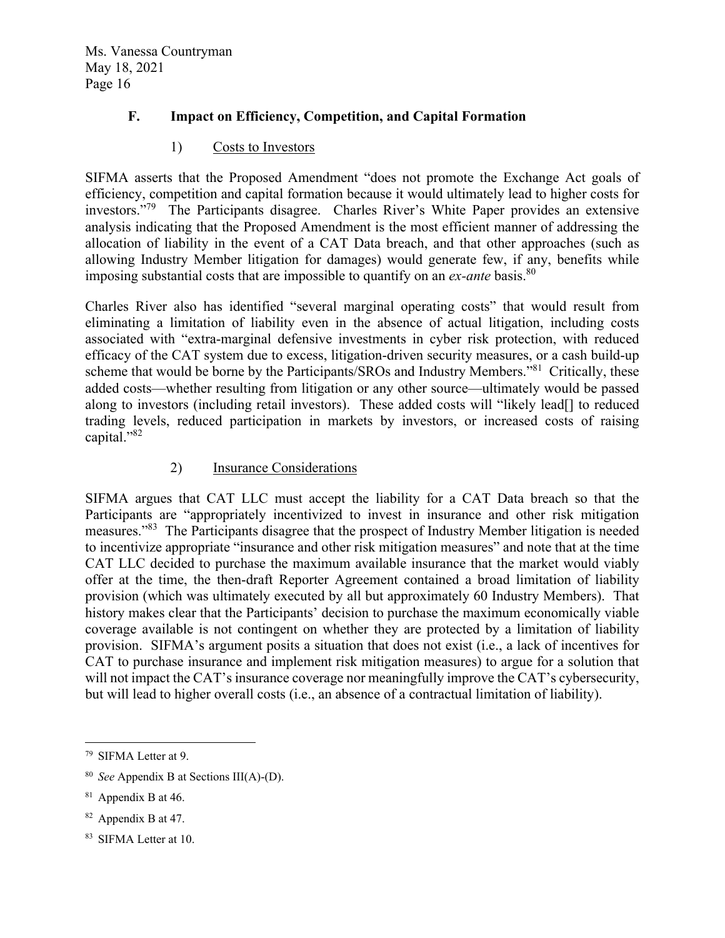### **F. Impact on Efficiency, Competition, and Capital Formation**

#### 1) Costs to Investors

SIFMA asserts that the Proposed Amendment "does not promote the Exchange Act goals of efficiency, competition and capital formation because it would ultimately lead to higher costs for investors."79 The Participants disagree. Charles River's White Paper provides an extensive analysis indicating that the Proposed Amendment is the most efficient manner of addressing the allocation of liability in the event of a CAT Data breach, and that other approaches (such as allowing Industry Member litigation for damages) would generate few, if any, benefits while imposing substantial costs that are impossible to quantify on an *ex-ante* basis.<sup>80</sup>

Charles River also has identified "several marginal operating costs" that would result from eliminating a limitation of liability even in the absence of actual litigation, including costs associated with "extra-marginal defensive investments in cyber risk protection, with reduced efficacy of the CAT system due to excess, litigation-driven security measures, or a cash build-up scheme that would be borne by the Participants/SROs and Industry Members.<sup>981</sup> Critically, these added costs—whether resulting from litigation or any other source—ultimately would be passed along to investors (including retail investors). These added costs will "likely lead[] to reduced trading levels, reduced participation in markets by investors, or increased costs of raising capital."82

#### 2) Insurance Considerations

SIFMA argues that CAT LLC must accept the liability for a CAT Data breach so that the Participants are "appropriately incentivized to invest in insurance and other risk mitigation measures."83 The Participants disagree that the prospect of Industry Member litigation is needed to incentivize appropriate "insurance and other risk mitigation measures" and note that at the time CAT LLC decided to purchase the maximum available insurance that the market would viably offer at the time, the then-draft Reporter Agreement contained a broad limitation of liability provision (which was ultimately executed by all but approximately 60 Industry Members). That history makes clear that the Participants' decision to purchase the maximum economically viable coverage available is not contingent on whether they are protected by a limitation of liability provision. SIFMA's argument posits a situation that does not exist (i.e., a lack of incentives for CAT to purchase insurance and implement risk mitigation measures) to argue for a solution that will not impact the CAT's insurance coverage nor meaningfully improve the CAT's cybersecurity, but will lead to higher overall costs (i.e., an absence of a contractual limitation of liability).

83 SIFMA Letter at 10.

<sup>79</sup> SIFMA Letter at 9.

<sup>80</sup> *See* Appendix B at Sections III(A)-(D).

<sup>&</sup>lt;sup>81</sup> Appendix B at 46.

<sup>82</sup> Appendix B at 47.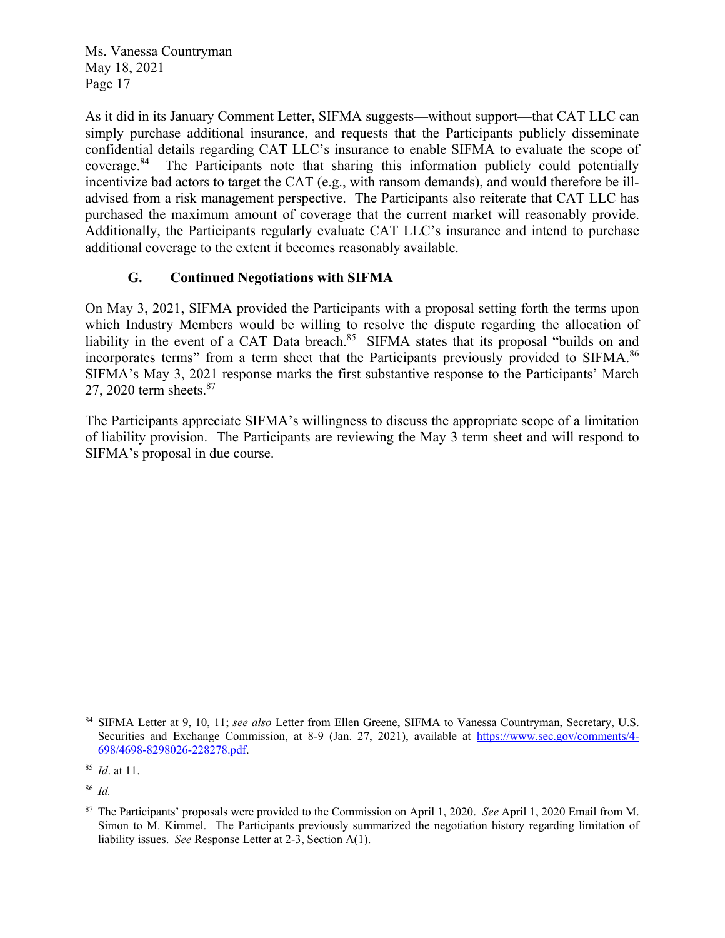As it did in its January Comment Letter, SIFMA suggests—without support—that CAT LLC can simply purchase additional insurance, and requests that the Participants publicly disseminate confidential details regarding CAT LLC's insurance to enable SIFMA to evaluate the scope of coverage.84 The Participants note that sharing this information publicly could potentially incentivize bad actors to target the CAT (e.g., with ransom demands), and would therefore be illadvised from a risk management perspective. The Participants also reiterate that CAT LLC has purchased the maximum amount of coverage that the current market will reasonably provide. Additionally, the Participants regularly evaluate CAT LLC's insurance and intend to purchase additional coverage to the extent it becomes reasonably available.

### **G. Continued Negotiations with SIFMA**

On May 3, 2021, SIFMA provided the Participants with a proposal setting forth the terms upon which Industry Members would be willing to resolve the dispute regarding the allocation of liability in the event of a CAT Data breach.<sup>85</sup> SIFMA states that its proposal "builds on and incorporates terms" from a term sheet that the Participants previously provided to SIFMA.<sup>86</sup> SIFMA's May 3, 2021 response marks the first substantive response to the Participants' March 27, 2020 term sheets.<sup>87</sup>

The Participants appreciate SIFMA's willingness to discuss the appropriate scope of a limitation of liability provision. The Participants are reviewing the May 3 term sheet and will respond to SIFMA's proposal in due course.

<sup>84</sup> SIFMA Letter at 9, 10, 11; *see also* Letter from Ellen Greene, SIFMA to Vanessa Countryman, Secretary, U.S. Securities and Exchange Commission, at 8-9 (Jan. 27, 2021), available at https://www.sec.gov/comments/4- 698/4698-8298026-228278.pdf.

<sup>85</sup> *Id*. at 11.

<sup>86</sup> *Id.*

<sup>87</sup> The Participants' proposals were provided to the Commission on April 1, 2020. *See* April 1, 2020 Email from M. Simon to M. Kimmel. The Participants previously summarized the negotiation history regarding limitation of liability issues. *See* Response Letter at 2-3, Section A(1).